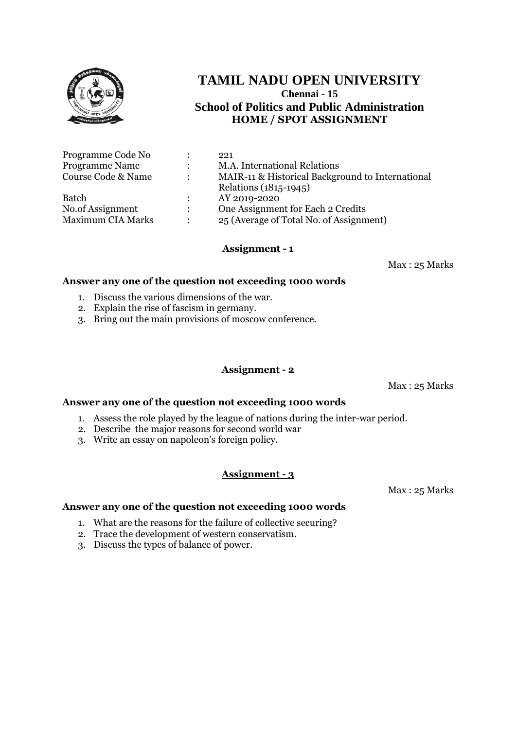

| Programme Code No        | ٠              | 221                                              |
|--------------------------|----------------|--------------------------------------------------|
| <b>Programme Name</b>    | $\ddot{\cdot}$ | M.A. International Relations                     |
| Course Code & Name       | $\ddot{\cdot}$ | MAIR-11 & Historical Background to International |
|                          |                | Relations (1815-1945)                            |
| <b>Batch</b>             | $\ddot{\cdot}$ | AY 2019-2020                                     |
| No.of Assignment         | $\mathcal{L}$  | One Assignment for Each 2 Credits                |
| <b>Maximum CIA Marks</b> | ٠              | 25 (Average of Total No. of Assignment)          |

### **Assignment - 1**

Max : 25 Marks

### **Answer any one of the question not exceeding 1000 words**

- 1. Discuss the various dimensions of the war.
- 2. Explain the rise of fascism in germany.
- 3. Bring out the main provisions of moscow conference.

### **Assignment - 2**

Max : 25 Marks

## **Answer any one of the question not exceeding 1000 words**

- 1. Assess the role played by the league of nations during the inter-war period.
- 2. Describe the major reasons for second world war
- 3. Write an essay on napoleon's foreign policy.

## **Assignment - 3**

Max : 25 Marks

- 1. What are the reasons for the failure of collective securing?
- 2. Trace the development of western conservatism.
- 3. Discuss the types of balance of power.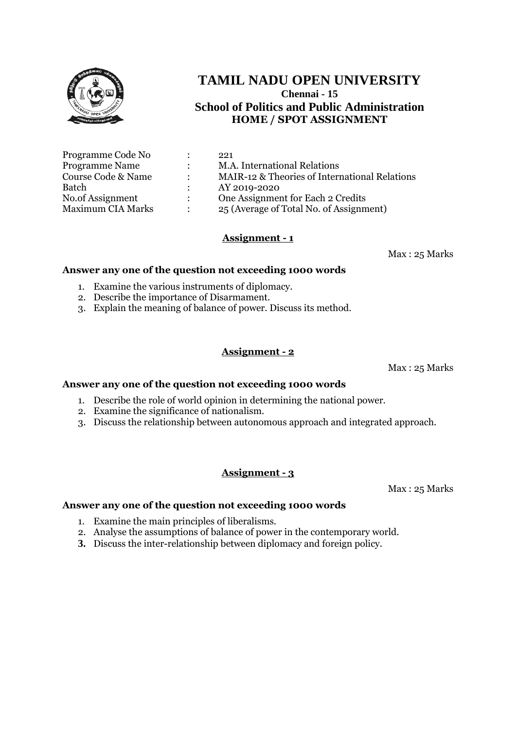

| Programme Code No        |                | 221                                           |
|--------------------------|----------------|-----------------------------------------------|
| <b>Programme Name</b>    | $\ddot{\cdot}$ | M.A. International Relations                  |
| Course Code & Name       | $\mathcal{L}$  | MAIR-12 & Theories of International Relations |
| Batch                    |                | AY 2019-2020                                  |
| No.of Assignment         | $\mathcal{L}$  | One Assignment for Each 2 Credits             |
| <b>Maximum CIA Marks</b> |                | 25 (Average of Total No. of Assignment)       |

## **Assignment - 1**

Max : 25 Marks

### **Answer any one of the question not exceeding 1000 words**

- 1. Examine the various instruments of diplomacy.
- 2. Describe the importance of Disarmament.
- 3. Explain the meaning of balance of power. Discuss its method.

## **Assignment - 2**

Max : 25 Marks

## **Answer any one of the question not exceeding 1000 words**

- 1. Describe the role of world opinion in determining the national power.
- 2. Examine the significance of nationalism.
- 3. Discuss the relationship between autonomous approach and integrated approach.

## **Assignment - 3**

Max : 25 Marks

- 1. Examine the main principles of liberalisms.
- 2. Analyse the assumptions of balance of power in the contemporary world.
- **3.** Discuss the inter-relationship between diplomacy and foreign policy.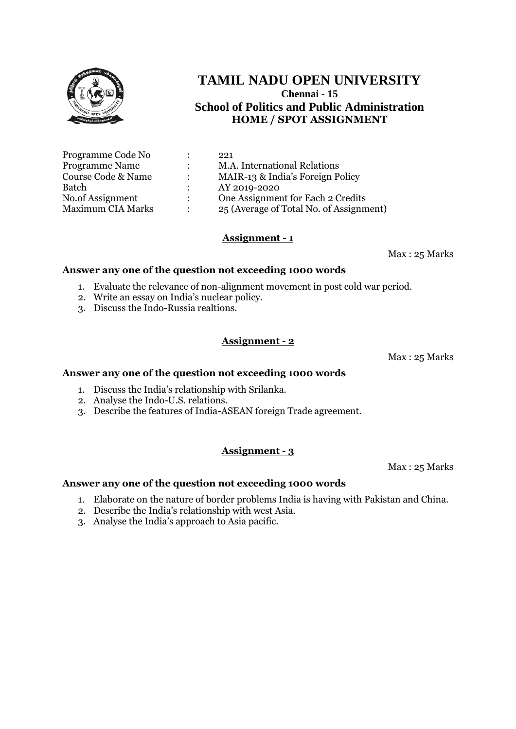

| Programme Code No        |                      | 221                                     |
|--------------------------|----------------------|-----------------------------------------|
| <b>Programme Name</b>    |                      | M.A. International Relations            |
| Course Code & Name       | $\ddot{\phantom{a}}$ | MAIR-13 & India's Foreign Policy        |
| Batch                    |                      | AY 2019-2020                            |
| No.of Assignment         | $\mathcal{L}$        | One Assignment for Each 2 Credits       |
| <b>Maximum CIA Marks</b> | $\bullet$            | 25 (Average of Total No. of Assignment) |

## **Assignment - 1**

Max : 25 Marks

### **Answer any one of the question not exceeding 1000 words**

- 1. Evaluate the relevance of non-alignment movement in post cold war period.
- 2. Write an essay on India's nuclear policy.
- 3. Discuss the Indo-Russia realtions.

## **Assignment - 2**

Max : 25 Marks

#### **Answer any one of the question not exceeding 1000 words**

- 1. Discuss the India's relationship with Srilanka.
- 2. Analyse the Indo-U.S. relations.
- 3. Describe the features of India-ASEAN foreign Trade agreement.

## **Assignment - 3**

Max : 25 Marks

- 1. Elaborate on the nature of border problems India is having with Pakistan and China.
- 2. Describe the India's relationship with west Asia.
- 3. Analyse the India's approach to Asia pacific.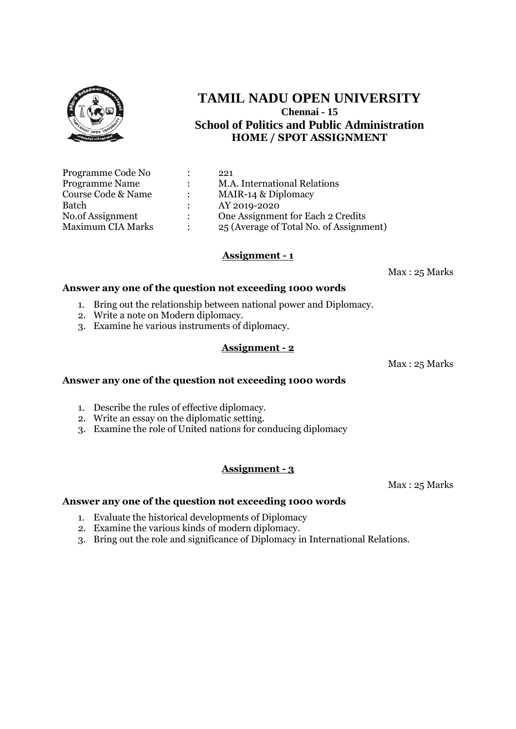

| Programme Code No        |                | 221                                     |
|--------------------------|----------------|-----------------------------------------|
| <b>Programme Name</b>    |                | M.A. International Relations            |
| Course Code & Name       |                | MAIR-14 & Diplomacy                     |
| Batch                    |                | AY 2019-2020                            |
| No.of Assignment         | $\ddot{\cdot}$ | One Assignment for Each 2 Credits       |
| <b>Maximum CIA Marks</b> |                | 25 (Average of Total No. of Assignment) |

#### **Assignment - 1**

Max : 25 Marks

#### **Answer any one of the question not exceeding 1000 words**

- 1. Bring out the relationship between national power and Diplomacy.
- 2. Write a note on Modern diplomacy.
- 3. Examine he various instruments of diplomacy.

### **Assignment - 2**

Max : 25 Marks

#### **Answer any one of the question not exceeding 1000 words**

- 1. Describe the rules of effective diplomacy.
- 2. Write an essay on the diplomatic setting.
- 3. Examine the role of United nations for conducing diplomacy

## **Assignment - 3**

Max : 25 Marks

- 1. Evaluate the historical developments of Diplomacy
- 2. Examine the various kinds of modern diplomacy.
- 3. Bring out the role and significance of Diplomacy in International Relations.